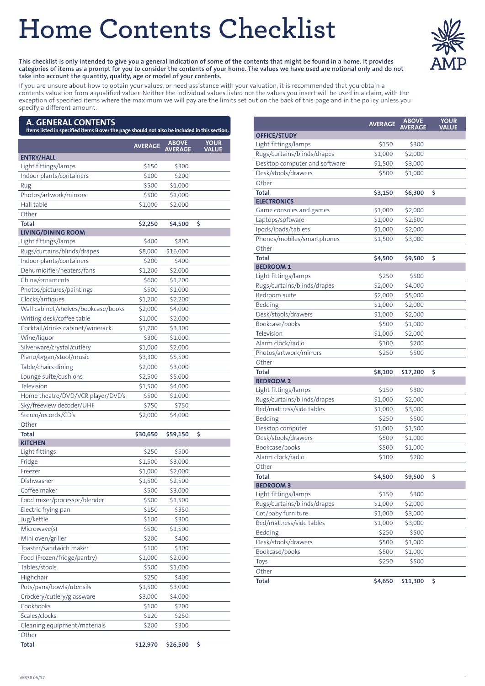# **Home Contents Checklist**



This checklist is only intended to give you a general indication of some of the contents that might be found in a home. It provides categories of items as a prompt for you to consider the contents of your home. The values we have used are notional only and do not **take into account the quantity, quality, age or model of your contents.**

If you are unsure about how to obtain your values, or need assistance with your valuation, it is recommended that you obtain a contents valuation from a qualified valuer. Neither the individual values listed nor the values you insert will be used in a claim, with the exception of specified items where the maximum we will pay are the limits set out on the back of this page and in the policy unless you specify a different amount.

# **A. GENERAL CONTENTS**

| Items listed in specified items B over the page should not also be included in this section. |                |                                |                             |
|----------------------------------------------------------------------------------------------|----------------|--------------------------------|-----------------------------|
|                                                                                              | <b>AVERAGE</b> | <b>ABOVE</b><br><b>AVERAGE</b> | <b>YOUR</b><br><b>VALUE</b> |
| <b>ENTRY/HALL</b>                                                                            |                |                                |                             |
| Light fittings/lamps                                                                         | \$150          | \$300                          |                             |
| Indoor plants/containers                                                                     | \$100          | \$200                          |                             |
| Rug                                                                                          | \$500          | \$1,000                        |                             |
| Photos/artwork/mirrors                                                                       | \$500          | \$1,000                        |                             |
| Hall table                                                                                   | \$1,000        | \$2,000                        |                             |
| Other                                                                                        |                |                                |                             |
| <b>Total</b>                                                                                 | \$2,250        | \$4,500                        | \$                          |
| <b>LIVING/DINING ROOM</b>                                                                    |                |                                |                             |
| Light fittings/lamps                                                                         | \$400          | \$800                          |                             |
| Rugs/curtains/blinds/drapes                                                                  | \$8,000        | \$16,000                       |                             |
| Indoor plants/containers                                                                     | \$200          | \$400                          |                             |
| Dehumidifier/heaters/fans                                                                    | \$1,200        | \$2,000                        |                             |
| China/ornaments                                                                              | \$600          | \$1,200                        |                             |
| Photos/pictures/paintings                                                                    | \$500          | \$1,000                        |                             |
| Clocks/antiques                                                                              | \$1,200        | \$2,200                        |                             |
| Wall cabinet/shelves/bookcase/books                                                          | \$2,000        | \$4,000                        |                             |
| Writing desk/coffee table                                                                    | \$1,000        | \$2,000                        |                             |
| Cocktail/drinks cabinet/winerack                                                             | \$1,700        | \$3,300                        |                             |
| Wine/liquor                                                                                  | \$300          | \$1,000                        |                             |
| Silverware/crystal/cutlery                                                                   | \$1,000        | \$2,000                        |                             |
| Piano/organ/stool/music                                                                      | \$3,300        | \$5,500                        |                             |
| Table/chairs dining                                                                          | \$2,000        | \$3,000                        |                             |
| Lounge suite/cushions                                                                        | \$2,500        | \$5,000                        |                             |
| Television                                                                                   | \$1,500        | \$4,000                        |                             |
| Home theatre/DVD/VCR player/DVD's                                                            | \$500          | \$1,000                        |                             |
| Sky/freeview decoder/UHF                                                                     | \$750          | \$750                          |                             |
| Stereo/records/CD's                                                                          | \$2,000        | \$4,000                        |                             |
| Other                                                                                        |                |                                |                             |
| <b>Total</b>                                                                                 | \$30,650       | \$59,150                       | \$                          |
| <b>KITCHEN</b>                                                                               |                |                                |                             |
| Light fittings                                                                               | \$250          | \$500                          |                             |
| Fridge                                                                                       | \$1,500        | \$3,000                        |                             |
| Freezer                                                                                      | \$1,000        | \$2,000                        |                             |
| Dishwasher                                                                                   | \$1,500        | \$2,500                        |                             |
| Coffee maker                                                                                 | \$500          | \$3,000                        |                             |
| Food mixer/processor/blender                                                                 | \$500          | \$1,500                        |                             |
| Electric frying pan                                                                          | \$150          | \$350                          |                             |
| Jug/kettle                                                                                   | \$100          | \$300                          |                             |
| Microwave(s)                                                                                 | \$500          | \$1,500                        |                             |
| Mini oven/griller                                                                            | \$200          | \$400                          |                             |
| Toaster/sandwich maker                                                                       | \$100          | \$300                          |                             |
| Food (Frozen/fridge/pantry)                                                                  | \$1,000        | \$2,000                        |                             |
| Tables/stools                                                                                | \$500          | \$1,000                        |                             |
| Highchair                                                                                    | \$250          | \$400                          |                             |
| Pots/pans/bowls/utensils                                                                     | \$1,500        |                                |                             |
|                                                                                              |                | \$3,000                        |                             |
| Crockery/cutlery/glassware<br>Cookbooks                                                      | \$3,000        | \$4,000                        |                             |
|                                                                                              | \$100          | \$200                          |                             |
| Scales/clocks                                                                                | \$120          | \$250                          |                             |
| Cleaning equipment/materials                                                                 | \$200          | \$300                          |                             |
| Other                                                                                        |                |                                |                             |
| Total                                                                                        | \$12,970       | \$26,500                       | \$                          |

|                               | <b>AVERAGE</b> | <b>ABOVE</b>   | <b>YOUR</b> |
|-------------------------------|----------------|----------------|-------------|
|                               |                | <b>AVERAGE</b> | VALUE       |
| <b>OFFICE/STUDY</b>           |                |                |             |
| Light fittings/lamps          | \$150          | \$300          |             |
| Rugs/curtains/blinds/drapes   | \$1,000        | \$2,000        |             |
| Desktop computer and software | \$1,500        | \$3,000        |             |
| Desk/stools/drawers           | \$500          | \$1,000        |             |
| Other                         |                |                |             |
| <b>Total</b>                  | \$3,150        | \$6,300        | \$          |
| <b>ELECTRONICS</b>            |                |                |             |
| Game consoles and games       | \$1,000        | \$2,000        |             |
| Laptops/software              | \$1,000        | \$2,500        |             |
| Ipods/Ipads/tablets           | \$1,000        | \$2,000        |             |
| Phones/mobiles/smartphones    | \$1,500        | \$3,000        |             |
| Other                         |                |                |             |
| <b>Total</b>                  | \$4,500        | \$9,500        | \$          |
| <b>BEDROOM 1</b>              |                |                |             |
| Light fittings/lamps          | \$250          | \$500          |             |
| Rugs/curtains/blinds/drapes   | \$2,000        | \$4,000        |             |
| Bedroom suite                 | \$2,000        | \$5,000        |             |
| Bedding                       | \$1,000        | \$2,000        |             |
| Desk/stools/drawers           | \$1,000        | \$2,000        |             |
| Bookcase/books                | \$500          | \$1,000        |             |
| Television                    | \$1,000        | \$2,000        |             |
| Alarm clock/radio             | \$100          | \$200          |             |
| Photos/artwork/mirrors        | \$250          | \$500          |             |
| Other                         |                |                |             |
| <b>Total</b>                  | \$8,100        | \$17,200       | \$          |
| <b>BEDROOM 2</b>              |                |                |             |
| Light fittings/lamps          | \$150          | \$300          |             |
| Rugs/curtains/blinds/drapes   | \$1,000        | \$2,000        |             |
| Bed/mattress/side tables      | \$1,000        | \$3,000        |             |
| Bedding                       | \$250          | \$500          |             |
| Desktop computer              | \$1,000        | \$1,500        |             |
| Desk/stools/drawers           | \$500          | \$1,000        |             |
| Bookcase/books                | \$500          | \$1,000        |             |
| Alarm clock/radio             | \$100          | \$200          |             |
| Other                         |                |                |             |
| Total                         | \$4,500        | \$9,500        | \$          |
| <b>BEDROOM 3</b>              |                |                |             |
| Light fittings/lamps          | \$150          | \$300          |             |
| Rugs/curtains/blinds/drapes   | \$1,000        | \$2,000        |             |
| Cot/baby furniture            | \$1,000        | \$3,000        |             |
| Bed/mattress/side tables      | \$1,000        | \$3,000        |             |
| Bedding                       | \$250          | \$500          |             |
| Desk/stools/drawers           | \$500          | \$1,000        |             |
| Bookcase/books                | \$500          | \$1,000        |             |
| Toys                          | \$250          | \$500          |             |
| Other                         |                |                |             |
| <b>Total</b>                  | \$4,650        | \$11,300       | \$          |